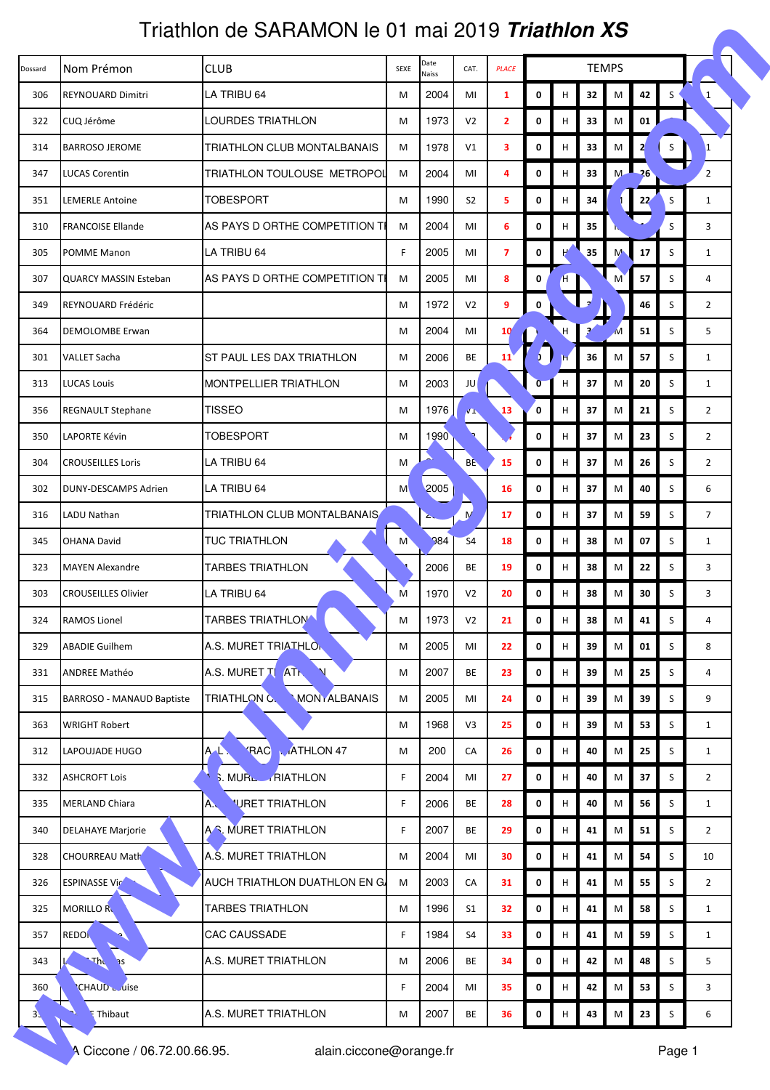## Triathlon de SARAMON le 01 mai 2019 **Triathlon XS**

|                |                              | Triathlon de SARAMON le 01 mai 2019 <i>Triathlon XS</i> |                                                               |                          |                |                 |                |    |                 |   |                |        |                |  |
|----------------|------------------------------|---------------------------------------------------------|---------------------------------------------------------------|--------------------------|----------------|-----------------|----------------|----|-----------------|---|----------------|--------|----------------|--|
| Dossard        | Nom Prémon                   | <b>CLUB</b>                                             | Date<br><b>TEMPS</b><br>CAT.<br><b>PLACE</b><br>SEXE<br>Naiss |                          |                |                 |                |    |                 |   |                |        |                |  |
| 306            | REYNOUARD Dimitri            | LA TRIBU 64                                             | М                                                             | 2004                     | MI             | 1               | 0              | н  | 32              | M | 42             | S      | $\mathbf{1}$   |  |
| 322            | CUQ Jérôme                   | <b>LOURDES TRIATHLON</b>                                | M                                                             | 1973                     | V <sub>2</sub> | $\mathbf{2}$    | 0              | H  | 33              | M | 01             |        |                |  |
| 314            | <b>BARROSO JEROME</b>        | TRIATHLON CLUB MONTALBANAIS                             | M                                                             | 1978                     | V1             | 3               | $\mathbf 0$    | H  | 33              | M | $\overline{2}$ |        | ١1             |  |
| 347            | LUCAS Corentin               | TRIATHLON TOULOUSE METROPOL                             | М                                                             | 2004                     | MI             | 4               | 0              | H  | 33              | M | $-26$          |        | $\overline{2}$ |  |
| 351            | <b>LEMERLE Antoine</b>       | TOBESPORT                                               | M                                                             | 1990                     | S <sub>2</sub> | 5               | 0              | H  | 34              |   | 22             | S      | $\mathbf{1}$   |  |
| 310            | <b>FRANCOISE Ellande</b>     | AS PAYS D ORTHE COMPETITION TI                          | M                                                             | 2004                     | MI             | 6               | 0              | H  | 35              |   |                | S      | 3              |  |
| 305            | POMME Manon                  | LA TRIBU 64                                             | F.                                                            | 2005                     | MI             | $\overline{7}$  | 0              | H  | 35 <sub>5</sub> | M | 17             | S      | $\mathbf{1}$   |  |
| 307            | <b>QUARCY MASSIN Esteban</b> | AS PAYS D ORTHE COMPETITION TI                          | M                                                             | 2005                     | MI             | 8               | 0              |    |                 | M | 57             | S      | 4              |  |
| 349            | REYNOUARD Frédéric           |                                                         | M                                                             | 1972                     | V <sub>2</sub> | 9               | 0              |    |                 |   | 46             | S      | $\overline{2}$ |  |
| 364            | DEMOLOMBE Erwan              |                                                         | М                                                             | 2004                     | MI             | 10 <sup>′</sup> |                |    |                 | M | 51             | S      | 5              |  |
| 301            | <b>VALLET Sacha</b>          | ST PAUL LES DAX TRIATHLON                               | M                                                             | 2006                     | BE             | 11              | $\mathbf{1}$   |    | 36              | M | 57             | S      | $\mathbf{1}$   |  |
| 313            | LUCAS Louis                  | <b>MONTPELLIER TRIATHLON</b>                            | M                                                             | 2003                     | JU             |                 | $\overline{0}$ | H  | 37              | М | 20             | S      | $\mathbf{1}$   |  |
| 356            | <b>REGNAULT Stephane</b>     | TISSEO                                                  | M                                                             | 1976                     | уЩ.            | 13              | $\mathbf{0}$   | H  | 37              | M | 21             | S      | $\overline{2}$ |  |
| 350            | LAPORTE Kévin                | TOBESPORT                                               | М                                                             | 1990                     |                |                 | 0              | н  | 37              | М | 23             | S      | $\overline{2}$ |  |
| 304            | <b>CROUSEILLES Loris</b>     | LA TRIBU 64                                             | M                                                             | ۸                        | <b>BE</b>      | 15              | 0              | H  | 37              | M | 26             | S      | $\overline{2}$ |  |
| 302            | DUNY-DESCAMPS Adrien         | LA TRIBU 64                                             | M                                                             | 2005                     |                | 16              | 0              | H  | 37              | M | 40             | S      | 6              |  |
| 316            | LADU Nathan                  | TRIATHLON CLUB MONTALBANAIS                             |                                                               | $\overline{\phantom{a}}$ | $\overline{M}$ | 17              | 0              | H  | 37              | M | 59             | S      | $\overline{7}$ |  |
| 345            | <b>OHANA David</b>           | <b>TUC TRIATHLON</b>                                    | M                                                             | 384                      | S <sub>4</sub> | 18              | 0              | н  | 38              | M | 07             | S      | $\mathbf{1}$   |  |
| 323            | <b>MAYEN Alexandre</b>       | <b>TARBES TRIATHLON</b>                                 |                                                               | 2006                     | <b>BE</b>      | 19              | 0              | H  | 38              | М | 22             | S      | 3              |  |
| 303            | <b>CROUSEILLES Olivier</b>   | LA TRIBU 64                                             | M                                                             | 1970                     | V <sub>2</sub> | 20              | 0              | H  | 38              | M | 30             | S      | 3              |  |
| 324            | <b>RAMOS Lionel</b>          | <b>TARBES TRIATHLON</b>                                 | M                                                             | 1973                     | V <sub>2</sub> | 21              | 0              | н  | 38              | Μ | 41             | S      | 4              |  |
| 329            | <b>ABADIE Guilhem</b>        | A.S. MURET TRIATHLON                                    | M                                                             | 2005                     | MI             | 22              | 0              | н  | 39              | M | 01             | S      | 8              |  |
| 331            | <b>ANDREE Mathéo</b>         | A.S. MURET TI ATL                                       | M                                                             | 2007                     | <b>BE</b>      | 23              | 0              | н  | 39              | M | 25             | S      | 4              |  |
| 315            | BARROSO - MANAUD Baptiste    | <b>MONTALBANAIS</b><br>TRIATHLON C.                     | M                                                             | 2005                     | MI             | 24              | 0              | н  | 39              | M | 39             | S      | 9              |  |
| 363            | <b>WRIGHT Robert</b>         |                                                         | M                                                             | 1968                     | V3             | 25              | 0              | H  | 39              | M | 53             | S      | $\mathbf{1}$   |  |
| 312            | LAPOUJADE HUGO               | <b>RAC</b><br><b>ATHLON 47</b><br>A                     | M                                                             | 200                      | CA             | 26              | 0              | H  | 40              | M | 25             | S      | $\mathbf{1}$   |  |
| 332            | <b>ASHCROFT Lois</b>         | MURL RIATHLON                                           | F                                                             | 2004                     | MI             | 27              | $\mathbf 0$    | н  | 40              | M | 37             | S      | $\overline{2}$ |  |
| 335            | <b>MERLAND Chiara</b>        | <b>'URET TRIATHLON</b><br>$\mathbf{A}$                  | F                                                             | 2006                     | BE             | 28              | 0              | H. | 40              | M | 56             | S      | $\mathbf{1}$   |  |
| 340            | <b>DELAHAYE Marjorie</b>     | A.S. MURET TRIATHLON                                    | F                                                             | 2007                     | BE             | 29              | 0              | н  | 41              | M | 51             | S      | $\overline{2}$ |  |
| 328            | <b>CHOURREAU Math</b>        | A.Š. MURET TRIATHLON                                    | M                                                             | 2004                     | MI             | 30              | 0              | H. | 41              | M | 54             | S      | 10             |  |
| 326            | <b>ESPINASSE Vict</b>        | AUCH TRIATHLON DUATHLON EN GJ                           | M                                                             | 2003                     | CA             | 31              | $\pmb{0}$      | Н  | 41              | M | 55             | S      | $\overline{2}$ |  |
| 325            | <b>MORILLO RU</b>            | <b>TARBES TRIATHLON</b>                                 | M                                                             | 1996                     | S <sub>1</sub> | 32              | 0              | н  | 41              | M | 58             | S      | $\mathbf{1}$   |  |
| 357            | <b>REDO</b>                  | CAC CAUSSADE                                            | F                                                             | 1984                     | S4             | 33              | 0              | H  | 41              | M | 59             | S      | $\mathbf{1}$   |  |
| 343            | Thc<br><b>RE</b>             | A.S. MURET TRIATHLON                                    | M                                                             | 2006                     | BE             | 34              | 0              | H  | 42              | M | 48             | S.     | 5              |  |
| 360            | <b>CHAUD</b> Luise           |                                                         | F                                                             | 2004                     | MI             | 35              | 0              | н  | 42              | M | 53             | S      | 3              |  |
| 3 <sub>1</sub> | A,<br><b>E</b> Thibaut       | A.S. MURET TRIATHLON                                    | M                                                             | 2007                     | BE             | 36              | 0              | H  | 43              | M | 23             | S      | 6              |  |
|                | A Ciccone / 06.72.00.66.95.  | alain.ciccone@orange.fr                                 |                                                               |                          |                |                 |                |    |                 |   |                | Page 1 |                |  |